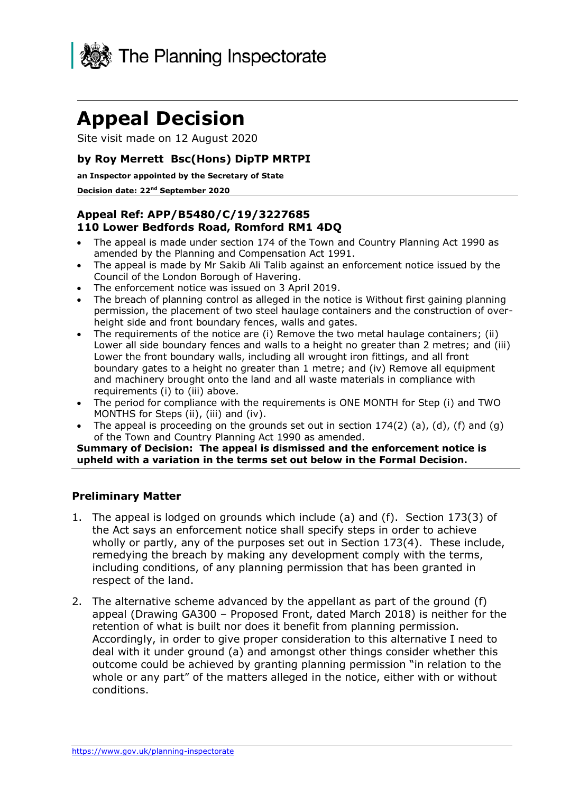

# **Appeal Decision**

Site visit made on 12 August 2020

## **by Roy Merrett Bsc(Hons) DipTP MRTPI**

#### **an Inspector appointed by the Secretary of State**

#### **Decision date: 22nd September 2020**

## **Appeal Ref: APP/B5480/C/19/3227685 110 Lower Bedfords Road, Romford RM1 4DQ**

- • The appeal is made under section 174 of the Town and Country Planning Act 1990 as amended by the Planning and Compensation Act 1991.
- • The appeal is made by Mr Sakib Ali Talib against an enforcement notice issued by the Council of the London Borough of Havering.
- The enforcement notice was issued on 3 April 2019.
- • The breach of planning control as alleged in the notice is Without first gaining planning permission, the placement of two steel haulage containers and the construction of over-height side and front boundary fences, walls and gates.
- • The requirements of the notice are (i) Remove the two metal haulage containers; (ii) Lower all side boundary fences and walls to a height no greater than 2 metres; and (iii) Lower the front boundary walls, including all wrought iron fittings, and all front boundary gates to a height no greater than 1 metre; and (iv) Remove all equipment and machinery brought onto the land and all waste materials in compliance with requirements (i) to (iii) above.
- • The period for compliance with the requirements is ONE MONTH for Step (i) and TWO MONTHS for Steps (ii), (iii) and (iv).
- The appeal is proceeding on the grounds set out in section  $174(2)$  (a), (d), (f) and (g) of the Town and Country Planning Act 1990 as amended.

 **Summary of Decision: The appeal is dismissed and the enforcement notice is upheld with a variation in the terms set out below in the Formal Decision.** 

#### **Preliminary Matter**

- 1. The appeal is lodged on grounds which include (a) and (f). Section 173(3) of the Act says an enforcement notice shall specify steps in order to achieve wholly or partly, any of the purposes set out in Section 173(4). These include, remedying the breach by making any development comply with the terms, including conditions, of any planning permission that has been granted in respect of the land.
- 2. The alternative scheme advanced by the appellant as part of the ground (f) appeal (Drawing GA300 – Proposed Front, dated March 2018) is neither for the retention of what is built nor does it benefit from planning permission. Accordingly, in order to give proper consideration to this alternative I need to deal with it under ground (a) and amongst other things consider whether this outcome could be achieved by granting planning permission "in relation to the whole or any part" of the matters alleged in the notice, either with or without conditions.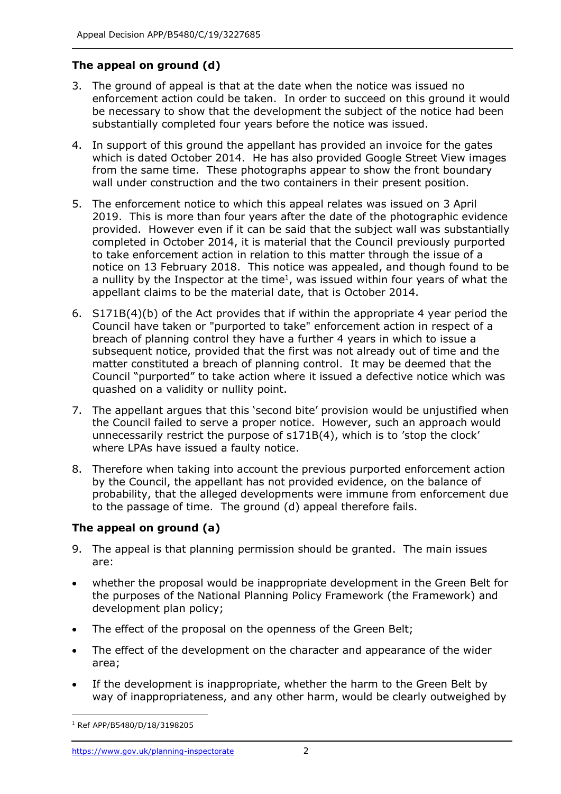# **The appeal on ground (d)**

- 3. The ground of appeal is that at the date when the notice was issued no enforcement action could be taken. In order to succeed on this ground it would be necessary to show that the development the subject of the notice had been substantially completed four years before the notice was issued.
- 4. In support of this ground the appellant has provided an invoice for the gates which is dated October 2014. He has also provided Google Street View images from the same time. These photographs appear to show the front boundary wall under construction and the two containers in their present position.
- 5. The enforcement notice to which this appeal relates was issued on 3 April 2019. This is more than four years after the date of the photographic evidence provided. However even if it can be said that the subject wall was substantially completed in October 2014, it is material that the Council previously purported to take enforcement action in relation to this matter through the issue of a notice on 13 February 2018. This notice was appealed, and though found to be a nullity by the Inspector at the time<sup>1</sup>, was issued within four years of what the appellant claims to be the material date, that is October 2014.
- 6. S171B(4)(b) of the Act provides that if within the appropriate 4 year period the Council have taken or "purported to take" enforcement action in respect of a breach of planning control they have a further 4 years in which to issue a subsequent notice, provided that the first was not already out of time and the matter constituted a breach of planning control. It may be deemed that the Council "purported" to take action where it issued a defective notice which was quashed on a validity or nullity point.
- 7. The appellant argues that this 'second bite' provision would be unjustified when the Council failed to serve a proper notice. However, such an approach would unnecessarily restrict the purpose of s171B(4), which is to 'stop the clock' where LPAs have issued a faulty notice.
- 8. Therefore when taking into account the previous purported enforcement action by the Council, the appellant has not provided evidence, on the balance of probability, that the alleged developments were immune from enforcement due to the passage of time. The ground (d) appeal therefore fails.

## **The appeal on ground (a)**

- 9. The appeal is that planning permission should be granted. The main issues are:
- • whether the proposal would be inappropriate development in the Green Belt for the purposes of the National Planning Policy Framework (the Framework) and development plan policy;
- The effect of the proposal on the openness of the Green Belt;
- • The effect of the development on the character and appearance of the wider area;
- • If the development is inappropriate, whether the harm to the Green Belt by way of inappropriateness, and any other harm, would be clearly outweighed by

<sup>1</sup> Ref APP/B5480/D/18/3198205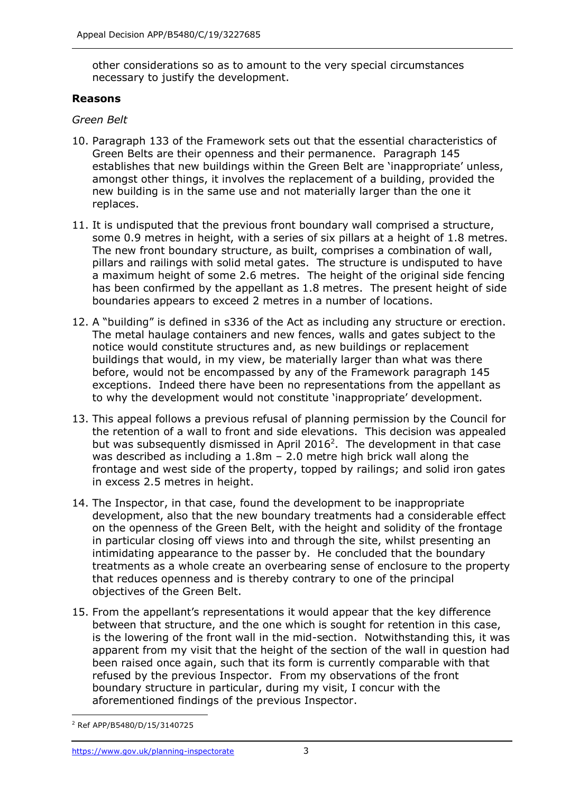other considerations so as to amount to the very special circumstances necessary to justify the development.

### **Reasons**

## *Green Belt*

- 10. Paragraph 133 of the Framework sets out that the essential characteristics of Green Belts are their openness and their permanence. Paragraph 145 amongst other things, it involves the replacement of a building, provided the new building is in the same use and not materially larger than the one it replaces. establishes that new buildings within the Green Belt are 'inappropriate' unless,
- replaces.<br>11. It is undisputed that the previous front boundary wall comprised a structure, some 0.9 metres in height, with a series of six pillars at a height of 1.8 metres. The new front boundary structure, as built, comprises a combination of wall, pillars and railings with solid metal gates. The structure is undisputed to have a maximum height of some 2.6 metres. The height of the original side fencing has been confirmed by the appellant as 1.8 metres. The present height of side boundaries appears to exceed 2 metres in a number of locations.
- 12. A "building" is defined in s336 of the Act as including any structure or erection. notice would constitute structures and, as new buildings or replacement buildings that would, in my view, be materially larger than what was there before, would not be encompassed by any of the Framework paragraph 145 exceptions. Indeed there have been no representations from the appellant as to why the development would not constitute 'inappropriate' development. The metal haulage containers and new fences, walls and gates subject to the
- 13. This appeal follows a previous refusal of planning permission by the Council for the retention of a wall to front and side elevations. This decision was appealed but was subsequently dismissed in April 2016<sup>2</sup>. The development in that case was described as including a 1.8m – 2.0 metre high brick wall along the frontage and west side of the property, topped by railings; and solid iron gates in excess 2.5 metres in height.
- 14. The Inspector, in that case, found the development to be inappropriate development, also that the new boundary treatments had a considerable effect on the openness of the Green Belt, with the height and solidity of the frontage in particular closing off views into and through the site, whilst presenting an intimidating appearance to the passer by. He concluded that the boundary treatments as a whole create an overbearing sense of enclosure to the property that reduces openness and is thereby contrary to one of the principal objectives of the Green Belt.
- 15. From the appellant's representations it would appear that the key difference between that structure, and the one which is sought for retention in this case, is the lowering of the front wall in the mid-section. Notwithstanding this, it was apparent from my visit that the height of the section of the wall in question had been raised once again, such that its form is currently comparable with that refused by the previous Inspector. From my observations of the front boundary structure in particular, during my visit, I concur with the aforementioned findings of the previous Inspector.

<sup>2</sup> Ref APP/B5480/D/15/3140725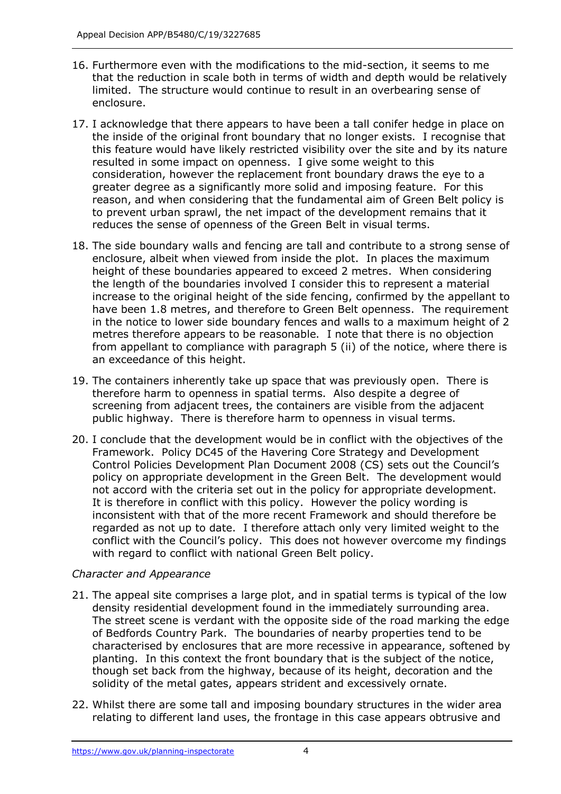- 16. Furthermore even with the modifications to the mid-section, it seems to me that the reduction in scale both in terms of width and depth would be relatively limited. The structure would continue to result in an overbearing sense of enclosure.
- enclosure.<br>17. I acknowledge that there appears to have been a tall conifer hedge in place on the inside of the original front boundary that no longer exists. I recognise that this feature would have likely restricted visibility over the site and by its nature resulted in some impact on openness. I give some weight to this consideration, however the replacement front boundary draws the eye to a greater degree as a significantly more solid and imposing feature. For this reduces the sense of openness of the Green Belt in visual terms. reason, and when considering that the fundamental aim of Green Belt policy is to prevent urban sprawl, the net impact of the development remains that it
- reduces the sense of openness of the Green Belt in visual terms. 18. The side boundary walls and fencing are tall and contribute to a strong sense of enclosure, albeit when viewed from inside the plot. In places the maximum height of these boundaries appeared to exceed 2 metres. When considering the length of the boundaries involved I consider this to represent a material increase to the original height of the side fencing, confirmed by the appellant to have been 1.8 metres, and therefore to Green Belt openness. The requirement in the notice to lower side boundary fences and walls to a maximum height of 2 metres therefore appears to be reasonable. I note that there is no objection from appellant to compliance with paragraph 5 (ii) of the notice, where there is an exceedance of this height.
- 19. The containers inherently take up space that was previously open. There is therefore harm to openness in spatial terms. Also despite a degree of screening from adjacent trees, the containers are visible from the adjacent public highway. There is therefore harm to openness in visual terms.
- 20. I conclude that the development would be in conflict with the objectives of the Framework. Policy DC45 of the Havering Core Strategy and Development Control Policies Development Plan Document 2008 (CS) sets out the Council's policy on appropriate development in the Green Belt. The development would not accord with the criteria set out in the policy for appropriate development. It is therefore in conflict with this policy. However the policy wording is inconsistent with that of the more recent Framework and should therefore be regarded as not up to date. I therefore attach only very limited weight to the conflict with the Council's policy. This does not however overcome my findings with regard to conflict with national Green Belt policy.

## *Character and Appearance*

- 21. The appeal site comprises a large plot, and in spatial terms is typical of the low density residential development found in the immediately surrounding area. The street scene is verdant with the opposite side of the road marking the edge of Bedfords Country Park. The boundaries of nearby properties tend to be characterised by enclosures that are more recessive in appearance, softened by planting. In this context the front boundary that is the subject of the notice, though set back from the highway, because of its height, decoration and the solidity of the metal gates, appears strident and excessively ornate.
- 22. Whilst there are some tall and imposing boundary structures in the wider area relating to different land uses, the frontage in this case appears obtrusive and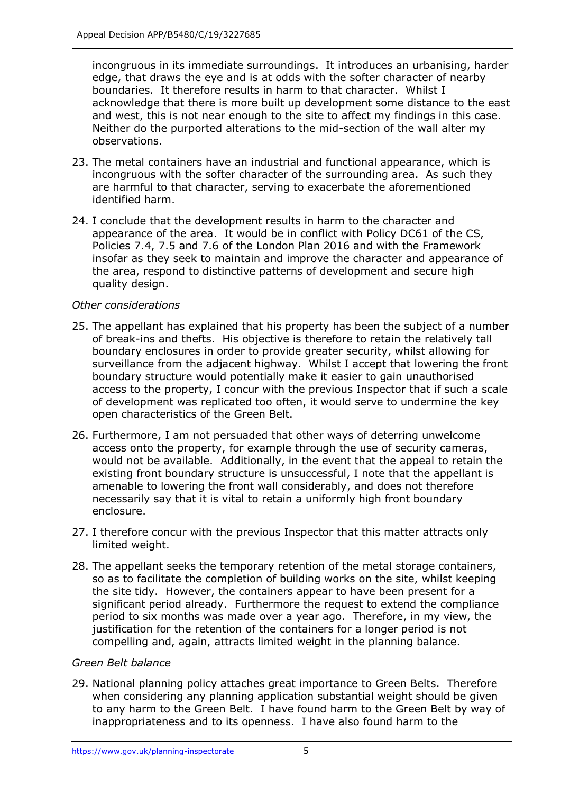incongruous in its immediate surroundings. It introduces an urbanising, harder edge, that draws the eye and is at odds with the softer character of nearby boundaries. It therefore results in harm to that character. Whilst I acknowledge that there is more built up development some distance to the east and west, this is not near enough to the site to affect my findings in this case. Neither do the purported alterations to the mid-section of the wall alter my observations.

- 23. The metal containers have an industrial and functional appearance, which is incongruous with the softer character of the surrounding area. As such they are harmful to that character, serving to exacerbate the aforementioned identified harm.
- 24. I conclude that the development results in harm to the character and appearance of the area. It would be in conflict with Policy DC61 of the CS, Policies 7.4, 7.5 and 7.6 of the London Plan 2016 and with the Framework insofar as they seek to maintain and improve the character and appearance of the area, respond to distinctive patterns of development and secure high quality design.

## *Other considerations*

- 25. The appellant has explained that his property has been the subject of a number of break-ins and thefts. His objective is therefore to retain the relatively tall boundary enclosures in order to provide greater security, whilst allowing for surveillance from the adjacent highway. Whilst I accept that lowering the front boundary structure would potentially make it easier to gain unauthorised access to the property, I concur with the previous Inspector that if such a scale of development was replicated too often, it would serve to undermine the key open characteristics of the Green Belt.
- 26. Furthermore, I am not persuaded that other ways of deterring unwelcome access onto the property, for example through the use of security cameras, would not be available. Additionally, in the event that the appeal to retain the existing front boundary structure is unsuccessful, I note that the appellant is amenable to lowering the front wall considerably, and does not therefore necessarily say that it is vital to retain a uniformly high front boundary enclosure.
- 27. I therefore concur with the previous Inspector that this matter attracts only limited weight.
- 28. The appellant seeks the temporary retention of the metal storage containers, the site tidy. However, the containers appear to have been present for a significant period already. Furthermore the request to extend the compliance period to six months was made over a year ago. Therefore, in my view, the justification for the retention of the containers for a longer period is not compelling and, again, attracts limited weight in the planning balance. so as to facilitate the completion of building works on the site, whilst keeping

#### *Green Belt balance*

 29. National planning policy attaches great importance to Green Belts. Therefore when considering any planning application substantial weight should be given to any harm to the Green Belt. I have found harm to the Green Belt by way of inappropriateness and to its openness. I have also found harm to the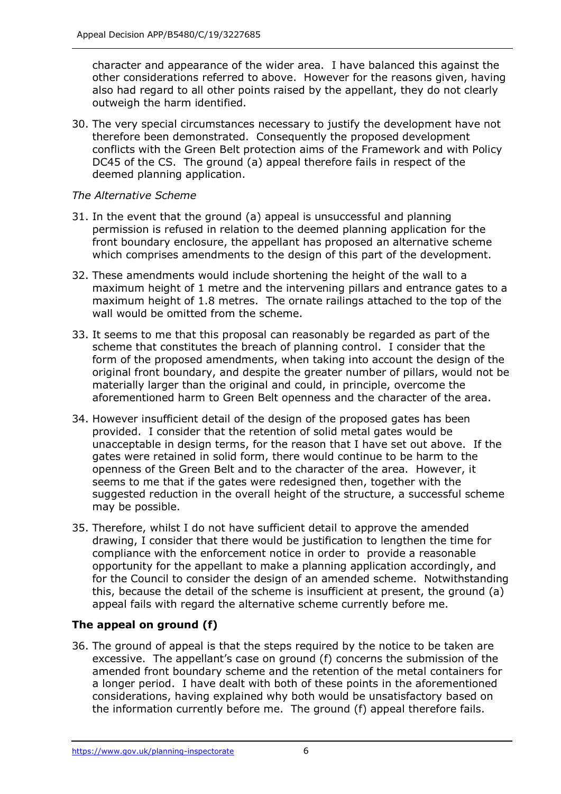character and appearance of the wider area. I have balanced this against the other considerations referred to above. However for the reasons given, having also had regard to all other points raised by the appellant, they do not clearly outweigh the harm identified.

 30. The very special circumstances necessary to justify the development have not therefore been demonstrated. Consequently the proposed development conflicts with the Green Belt protection aims of the Framework and with Policy DC45 of the CS. The ground (a) appeal therefore fails in respect of the deemed planning application.

## *The Alternative Scheme*

- 31. In the event that the ground (a) appeal is unsuccessful and planning permission is refused in relation to the deemed planning application for the front boundary enclosure, the appellant has proposed an alternative scheme which comprises amendments to the design of this part of the development.
- 32. These amendments would include shortening the height of the wall to a maximum height of 1 metre and the intervening pillars and entrance gates to a maximum height of 1.8 metres. The ornate railings attached to the top of the wall would be omitted from the scheme.
- 33. It seems to me that this proposal can reasonably be regarded as part of the scheme that constitutes the breach of planning control. I consider that the original front boundary, and despite the greater number of pillars, would not be materially larger than the original and could, in principle, overcome the aforementioned harm to Green Belt openness and the character of the area. form of the proposed amendments, when taking into account the design of the
- 34. However insufficient detail of the design of the proposed gates has been provided. I consider that the retention of solid metal gates would be unacceptable in design terms, for the reason that I have set out above. If the gates were retained in solid form, there would continue to be harm to the openness of the Green Belt and to the character of the area. However, it seems to me that if the gates were redesigned then, together with the suggested reduction in the overall height of the structure, a successful scheme may be possible.
- 35. Therefore, whilst I do not have sufficient detail to approve the amended drawing, I consider that there would be justification to lengthen the time for compliance with the enforcement notice in order to provide a reasonable opportunity for the appellant to make a planning application accordingly, and for the Council to consider the design of an amended scheme. Notwithstanding this, because the detail of the scheme is insufficient at present, the ground (a) appeal fails with regard the alternative scheme currently before me.

## **The appeal on ground (f)**

 36. The ground of appeal is that the steps required by the notice to be taken are excessive. The appellant's case on ground (f) concerns the submission of the amended front boundary scheme and the retention of the metal containers for a longer period. I have dealt with both of these points in the aforementioned considerations, having explained why both would be unsatisfactory based on the information currently before me. The ground (f) appeal therefore fails.